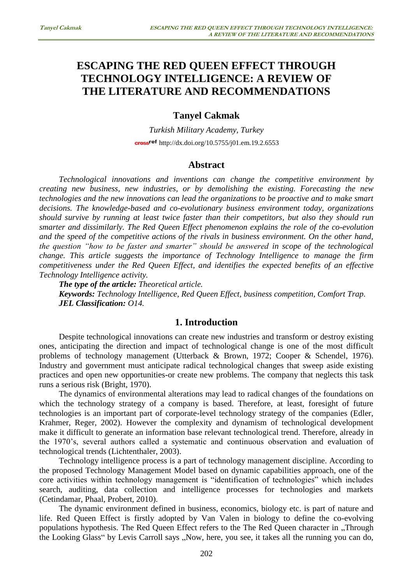# **ESCAPING THE RED QUEEN EFFECT THROUGH TECHNOLOGY INTELLIGENCE: A REVIEW OF THE LITERATURE AND RECOMMENDATIONS**

# **Tanyel Cakmak**

*Turkish Military Academy, Turkey*  cross<sup>ref</sup> <http://dx.doi.org/10.5755/j01.em.19.2.6553>

### **Abstract**

*Technological innovations and inventions can change the competitive environment by creating new business, new industries, or by demolishing the existing. Forecasting the new technologies and the new innovations can lead the organizations to be proactive and to make smart decisions. The knowledge-based and co-evolutionary business environment today, organizations should survive by running at least twice faster than their competitors, but also they should run smarter and dissimilarly. The Red Queen Effect phenomenon explains the role of the co-evolution and the speed of the competitive actions of the rivals in business environment. On the other hand, the question "how to be faster and smarter" should be answered in scope of the technological change. This article suggests the importance of Technology Intelligence to manage the firm competitiveness under the Red Queen Effect, and identifies the expected benefits of an effective Technology Intelligence activity.* 

*The type of the article: Theoretical article.*

*Keywords: Technology Intelligence, Red Queen Effect, business competition, Comfort Trap. JEL Classification: O14.*

# **1. Introduction**

Despite technological innovations can create new industries and transform or destroy existing ones, anticipating the direction and impact of technological change is one of the most difficult problems of technology management (Utterback & Brown, 1972; Cooper & Schendel, 1976). Industry and government must anticipate radical technological changes that sweep aside existing practices and open new opportunities-or create new problems. The company that neglects this task runs a serious risk (Bright, 1970).

The dynamics of environmental alterations may lead to radical changes of the foundations on which the technology strategy of a company is based. Therefore, at least, foresight of future technologies is an important part of corporate-level technology strategy of the companies (Edler, Krahmer, Reger, 2002). However the complexity and dynamism of technological development make it difficult to generate an information base relevant technological trend. Therefore, already in the 1970's, several authors called a systematic and continuous observation and evaluation of technological trends (Lichtenthaler, 2003).

Technology intelligence process is a part of technology management discipline. According to the proposed Technology Management Model based on dynamic capabilities approach, one of the core activities within technology management is "identification of technologies" which includes search, auditing, data collection and intelligence processes for technologies and markets (Cetindamar, Phaal, Probert, 2010).

The dynamic environment defined in business, economics, biology etc. is part of nature and life. Red Queen Effect is firstly adopted by Van Valen in biology to define the co-evolving populations hypothesis. The Red Queen Effect refers to the The Red Queen character in . Through the Looking Glass" by Levis Carroll says "Now, here, you see, it takes all the running you can do,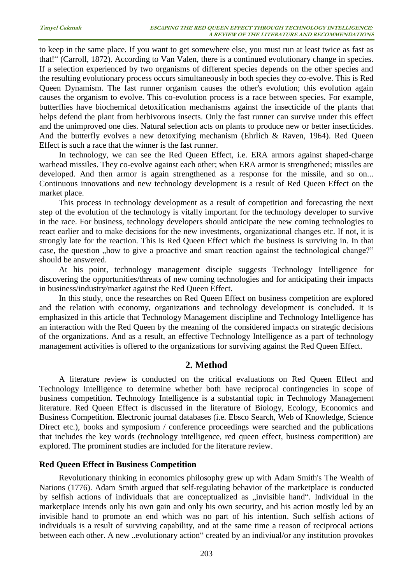to keep in the same place. If you want to get somewhere else, you must run at least twice as fast as that!" (Carroll, 1872). According to Van Valen, there is a continued evolutionary change in species. If a selection experienced by two organisms of different species depends on the other species and the resulting evolutionary process occurs simultaneously in both species they co-evolve. This is Red Queen Dynamism. The fast runner organism causes the other's evolution; this evolution again causes the organism to evolve. This co-evolution process is a race between species. For example, butterflies have biochemical detoxification mechanisms against the insecticide of the plants that helps defend the plant from herbivorous insects. Only the fast runner can survive under this effect and the unimproved one dies. Natural selection acts on plants to produce new or better insecticides. And the butterfly evolves a new detoxifying mechanism (Ehrlich & Raven, 1964). Red Queen Effect is such a race that the winner is the fast runner.

In technology, we can see the Red Queen Effect, i.e. ERA armors against shaped-charge warhead missiles. They co-evolve against each other; when ERA armor is strengthened; missiles are developed. And then armor is again strengthened as a response for the missile, and so on... Continuous innovations and new technology development is a result of Red Queen Effect on the market place.

This process in technology development as a result of competition and forecasting the next step of the evolution of the technology is vitally important for the technology developer to survive in the race. For business, technology developers should anticipate the new coming technologies to react earlier and to make decisions for the new investments, organizational changes etc. If not, it is strongly late for the reaction. This is Red Queen Effect which the business is surviving in. In that case, the question , how to give a proactive and smart reaction against the technological change?" should be answered.

At his point, technology management disciple suggests Technology Intelligence for discovering the opportunities/threats of new coming technologies and for anticipating their impacts in business/industry/market against the Red Queen Effect.

In this study, once the researches on Red Queen Effect on business competition are explored and the relation with economy, organizations and technology development is concluded. It is emphasized in this article that Technology Management discipline and Technology Intelligence has an interaction with the Red Queen by the meaning of the considered impacts on strategic decisions of the organizations. And as a result, an effective Technology Intelligence as a part of technology management activities is offered to the organizations for surviving against the Red Queen Effect.

# **2. Method**

A literature review is conducted on the critical evaluations on Red Queen Effect and Technology Intelligence to determine whether both have reciprocal contingencies in scope of business competition. Technology Intelligence is a substantial topic in Technology Management literature. Red Queen Effect is discussed in the literature of Biology, Ecology, Economics and Business Competition. Electronic journal databases (i.e. Ebsco Search, Web of Knowledge, Science Direct etc.), books and symposium / conference proceedings were searched and the publications that includes the key words (technology intelligence, red queen effect, business competition) are explored. The prominent studies are included for the literature review.

## **Red Queen Effect in Business Competition**

Revolutionary thinking in economics philosophy grew up with Adam Smith's The Wealth of Nations (1776). Adam Smith argued that self-regulating behavior of the marketplace is conducted by selfish actions of individuals that are conceptualized as "invisible hand". Individual in the marketplace intends only his own gain and only his own security, and his action mostly led by an invisible hand to promote an end which was no part of his intention. Such selfish actions of individuals is a result of surviving capability, and at the same time a reason of reciprocal actions between each other. A new "evolutionary action" created by an indiviual/or any institution provokes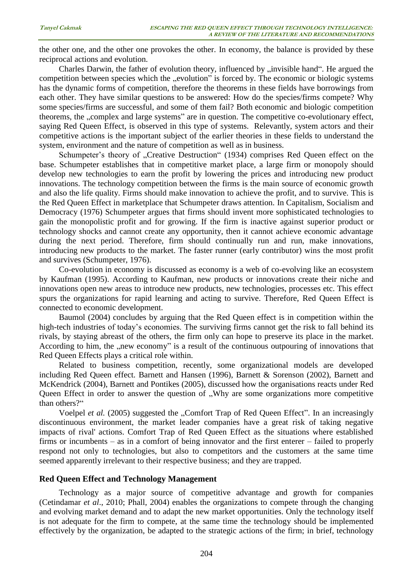the other one, and the other one provokes the other. In economy, the balance is provided by these reciprocal actions and evolution.

Charles Darwin, the father of evolution theory, influenced by "invisible hand". He argued the competition between species which the "evolution" is forced by. The economic or biologic systems has the dynamic forms of competition, therefore the theorems in these fields have borrowings from each other. They have similar questions to be answered: How do the species/firms compete? Why some species/firms are successful, and some of them fail? Both economic and biologic competition theorems, the "complex and large systems" are in question. The competitive co-evolutionary effect, saying Red Queen Effect, is observed in this type of systems. Relevantly, system actors and their competitive actions is the important subject of the earlier theories in these fields to understand the system, environment and the nature of competition as well as in business.

Schumpeter's theory of "Creative Destruction" (1934) comprises Red Queen effect on the base. Schumpeter establishes that in competitive market place, a large firm or monopoly should develop new technologies to earn the profit by lowering the prices and introducing new product innovations. The technology competition between the firms is the main source of economic growth and also the life quality. Firms should make innovation to achieve the profit, and to survive. This is the Red Queen Effect in marketplace that Schumpeter draws attention. In Capitalism, Socialism and Democracy (1976) Schumpeter argues that firms should invent more sophisticated technologies to gain the monopolistic profit and for growing. If the firm is inactive against superior product or technology shocks and cannot create any opportunity, then it cannot achieve economic advantage during the next period. Therefore, firm should continually run and run, make innovations, introducing new products to the market. The faster runner (early contributor) wins the most profit and survives (Schumpeter, 1976).

Co-evolution in economy is discussed as economy is a web of co-evolving like an ecosystem by Kaufman (1995). According to Kaufman, new products or innovations create their niche and innovations open new areas to introduce new products, new technologies, processes etc. This effect spurs the organizations for rapid learning and acting to survive. Therefore, Red Queen Effect is connected to economic development.

Baumol (2004) concludes by arguing that the Red Queen effect is in competition within the high-tech industries of today's economies. The surviving firms cannot get the risk to fall behind its rivals, by staying abreast of the others, the firm only can hope to preserve its place in the market. According to him, the "new economy" is a result of the continuous outpouring of innovations that Red Queen Effects plays a critical role within.

Related to business competition, recently, some organizational models are developed including Red Queen effect. Barnett and Hansen (1996), Barnett & Sorenson (2002), Barnett and McKendrick (2004), Barnett and Pontikes (2005), discussed how the organisations reacts under Red Queen Effect in order to answer the question of . Why are some organizations more competitive than others?"

Voelpel *et al.* (2005) suggested the "Comfort Trap of Red Queen Effect". In an increasingly discontinuous environment, the market leader companies have a great risk of taking negative impacts of rival' actions. Comfort Trap of Red Queen Effect as the situations where established firms or incumbents – as in a comfort of being innovator and the first enterer – failed to properly respond not only to technologies, but also to competitors and the customers at the same time seemed apparently irrelevant to their respective business; and they are trapped.

#### **Red Queen Effect and Technology Management**

Technology as a major source of competitive advantage and growth for companies (Cetindamar *et al*., 2010; Phall, 2004) enables the organizations to compete through the changing and evolving market demand and to adapt the new market opportunities. Only the technology itself is not adequate for the firm to compete, at the same time the technology should be implemented effectively by the organization, be adapted to the strategic actions of the firm; in brief, technology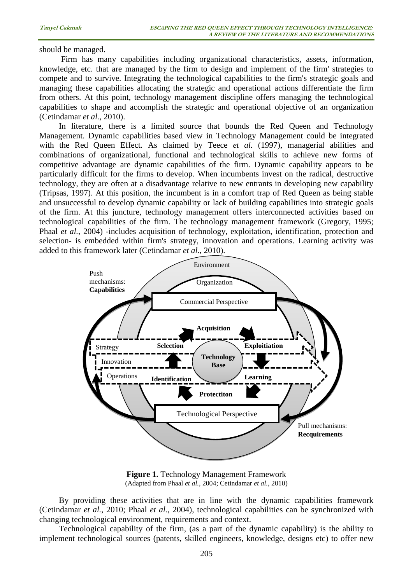should be managed.

Firm has many capabilities including organizational characteristics, assets, information, knowledge, etc. that are managed by the firm to design and implement of the firm' strategies to compete and to survive. Integrating the technological capabilities to the firm's strategic goals and managing these capabilities allocating the strategic and operational actions differentiate the firm from others. At this point, technology management discipline offers managing the technological capabilities to shape and accomplish the strategic and operational objective of an organization (Cetindamar *et al.*, 2010).

In literature, there is a limited source that bounds the Red Queen and Technology Management. Dynamic capabilities based view in Technology Management could be integrated with the Red Queen Effect. As claimed by Teece *et al.* (1997), managerial abilities and combinations of organizational, functional and technological skills to achieve new forms of competitive advantage are dynamic capabilities of the firm. Dynamic capability appears to be particularly difficult for the firms to develop. When incumbents invest on the radical, destructive technology, they are often at a disadvantage relative to new entrants in developing new capability (Tripsas, 1997). At this position, the incumbent is in a comfort trap of Red Queen as being stable and unsuccessful to develop dynamic capability or lack of building capabilities into strategic goals of the firm. At this juncture, technology management offers interconnected activities based on technological capabilities of the firm. The technology management framework (Gregory, 1995; Phaal *et al.*, 2004) -includes acquisition of technology, exploitation, identification, protection and selection- is embedded within firm's strategy, innovation and operations. Learning activity was added to this framework later (Cetindamar *et al.*, 2010).



**Figure 1.** Technology Management Framework (Adapted from Phaal *et al.*, 2004; Cetindamar *et al.*, 2010)

By providing these activities that are in line with the dynamic capabilities framework (Cetindamar *et al.*, 2010; Phaal *et al.*, 2004), technological capabilities can be synchronized with changing technological environment, requirements and context.

Technological capability of the firm, (as a part of the dynamic capability) is the ability to implement technological sources (patents, skilled engineers, knowledge, designs etc) to offer new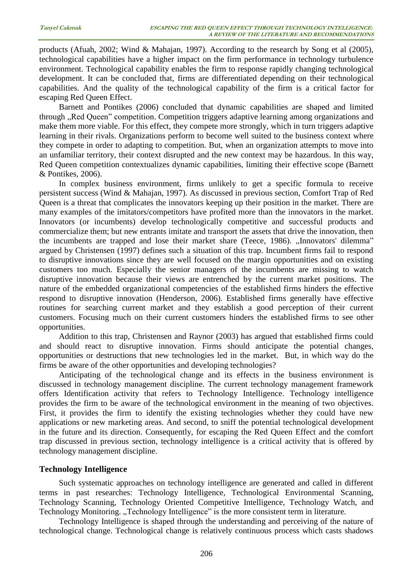products (Afuah, 2002; Wind & Mahajan, 1997). According to the research by Song et al (2005), technological capabilities have a higher impact on the firm performance in technology turbulence environment. Technological capability enables the firm to response rapidly changing technological development. It can be concluded that, firms are differentiated depending on their technological capabilities. And the quality of the technological capability of the firm is a critical factor for escaping Red Queen Effect.

Barnett and Pontikes (2006) concluded that dynamic capabilities are shaped and limited through "Red Queen" competition. Competition triggers adaptive learning among organizations and make them more viable. For this effect, they compete more strongly, which in turn triggers adaptive learning in their rivals. Organizations perform to become well suited to the business context where they compete in order to adapting to competition. But, when an organization attempts to move into an unfamiliar territory, their context disrupted and the new context may be hazardous. In this way, Red Queen competition contextualizes dynamic capabilities, limiting their effective scope (Barnett & Pontikes, 2006).

In complex business environment, firms unlikely to get a specific formula to receive persistent success (Wind & Mahajan, 1997). As discussed in previous section, Comfort Trap of Red Queen is a threat that complicates the innovators keeping up their position in the market. There are many examples of the imitators/competitors have profited more than the innovators in the market. Innovators (or incumbents) develop technologically competitive and successful products and commercialize them; but new entrants imitate and transport the assets that drive the innovation, then the incumbents are trapped and lose their market share (Teece, 1986). "Innovators' dilemma" argued by Christensen (1997) defines such a situation of this trap. Incumbent firms fail to respond to disruptive innovations since they are well focused on the margin opportunities and on existing customers too much. Especially the senior managers of the incumbents are missing to watch disruptive innovation because their views are entrenched by the current market positions. The nature of the embedded organizational competencies of the established firms hinders the effective respond to disruptive innovation (Henderson, 2006). Established firms generally have effective routines for searching current market and they establish a good perception of their current customers. Focusing much on their current customers hinders the established firms to see other opportunities.

Addition to this trap, Christensen and Raynor (2003) has argued that established firms could and should react to disruptive innovation. Firms should anticipate the potential changes, opportunities or destructions that new technologies led in the market. But, in which way do the firms be aware of the other opportunities and developing technologies?

Anticipating of the technological change and its effects in the business environment is discussed in technology management discipline. The current technology management framework offers Identification activity that refers to Technology Intelligence. Technology intelligence provides the firm to be aware of the technological environment in the meaning of two objectives. First, it provides the firm to identify the existing technologies whether they could have new applications or new marketing areas. And second, to sniff the potential technological development in the future and its direction. Consequently, for escaping the Red Queen Effect and the comfort trap discussed in previous section, technology intelligence is a critical activity that is offered by technology management discipline.

## **Technology Intelligence**

Such systematic approaches on technology intelligence are generated and called in different terms in past researches: Technology Intelligence, Technological Environmental Scanning, Technology Scanning, Technology Oriented Competitive Intelligence, Technology Watch, and Technology Monitoring. "Technology Intelligence" is the more consistent term in literature.

Technology Intelligence is shaped through the understanding and perceiving of the nature of technological change. Technological change is relatively continuous process which casts shadows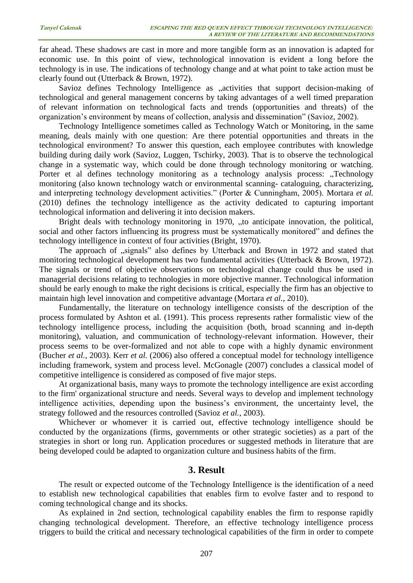far ahead. These shadows are cast in more and more tangible form as an innovation is adapted for economic use. In this point of view, technological innovation is evident a long before the technology is in use. The indications of technology change and at what point to take action must be clearly found out (Utterback & Brown, 1972).

Savioz defines Technology Intelligence as "activities that support decision-making of technological and general management concerns by taking advantages of a well timed preparation of relevant information on technological facts and trends (opportunities and threats) of the organization's environment by means of collection, analysis and dissemination" (Savioz, 2002).

Technology Intelligence sometimes called as Technology Watch or Monitoring, in the same meaning, deals mainly with one question: Are there potential opportunities and threats in the technological environment? To answer this question, each employee contributes with knowledge building during daily work (Savioz, Luggen, Tschirky, 2003). That is to observe the technological change in a systematic way, which could be done through technology monitoring or watching. Porter et al defines technology monitoring as a technology analysis process: "Technology monitoring (also known technology watch or environmental scanning- cataloguing, characterizing, and interpreting technology development activities." (Porter & Cunningham, 2005). Mortara *et al.* (2010) defines the technology intelligence as the activity dedicated to capturing important technological information and delivering it into decision makers.

Bright deals with technology monitoring in 1970, "to anticipate innovation, the political, social and other factors influencing its progress must be systematically monitored" and defines the technology intelligence in context of four activities (Bright, 1970).

The approach of "signals" also defines by Utterback and Brown in 1972 and stated that monitoring technological development has two fundamental activities (Utterback & Brown, 1972). The signals or trend of objective observations on technological change could thus be used in managerial decisions relating to technologies in more objective manner. Technological information should be early enough to make the right decisions is critical, especially the firm has an objective to maintain high level innovation and competitive advantage (Mortara *et al.*, 2010).

Fundamentally, the literature on technology intelligence consists of the description of the process formulated by Ashton et al. (1991). This process represents rather formalistic view of the technology intelligence process, including the acquisition (both, broad scanning and in-depth monitoring), valuation, and communication of technology-relevant information. However, their process seems to be over-formalized and not able to cope with a highly dynamic environment (Bucher *et al.*, 2003). Kerr *et al.* (2006) also offered a conceptual model for technology intelligence including framework, system and process level. McGonagle (2007) concludes a classical model of competitive intelligence is considered as composed of five major steps.

At organizational basis, many ways to promote the technology intelligence are exist according to the firm' organizational structure and needs. Several ways to develop and implement technology intelligence activities, depending upon the business's environment, the uncertainty level, the strategy followed and the resources controlled (Savioz *et al.*, 2003).

Whichever or whomever it is carried out, effective technology intelligence should be conducted by the organizations (firms, governments or other strategic societies) as a part of the strategies in short or long run. Application procedures or suggested methods in literature that are being developed could be adapted to organization culture and business habits of the firm.

## **3. Result**

The result or expected outcome of the Technology Intelligence is the identification of a need to establish new technological capabilities that enables firm to evolve faster and to respond to coming technological change and its shocks.

As explained in 2nd section, technological capability enables the firm to response rapidly changing technological development. Therefore, an effective technology intelligence process triggers to build the critical and necessary technological capabilities of the firm in order to compete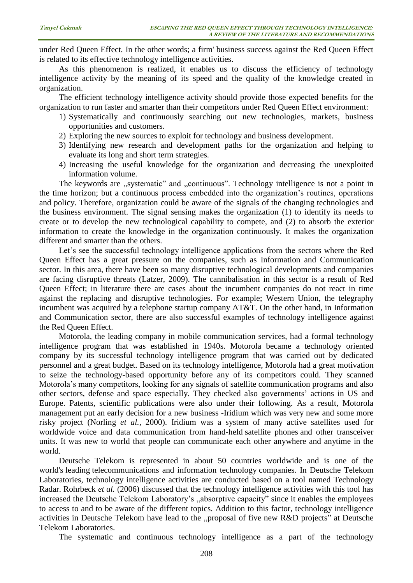under Red Queen Effect. In the other words; a firm' business success against the Red Queen Effect is related to its effective technology intelligence activities.

As this phenomenon is realized, it enables us to discuss the efficiency of technology intelligence activity by the meaning of its speed and the quality of the knowledge created in organization.

The efficient technology intelligence activity should provide those expected benefits for the organization to run faster and smarter than their competitors under Red Queen Effect environment:

- 1) Systematically and continuously searching out new technologies, markets, business opportunities and customers.
- 2) Exploring the new sources to exploit for technology and business development.
- 3) Identifying new research and development paths for the organization and helping to evaluate its long and short term strategies.
- 4) Increasing the useful knowledge for the organization and decreasing the unexploited information volume.

The keywords are "systematic" and "continuous". Technology intelligence is not a point in the time horizon; but a continuous process embedded into the organization's routines, operations and policy. Therefore, organization could be aware of the signals of the changing technologies and the business environment. The signal sensing makes the organization (1) to identify its needs to create or to develop the new technological capability to compete, and (2) to absorb the exterior information to create the knowledge in the organization continuously. It makes the organization different and smarter than the others.

Let's see the successful technology intelligence applications from the sectors where the Red Queen Effect has a great pressure on the companies, such as Information and Communication sector. In this area, there have been so many disruptive technological developments and companies are facing disruptive threats (Latzer, 2009). The cannibalisation in this sector is a result of Red Queen Effect; in literature there are cases about the incumbent companies do not react in time against the replacing and disruptive technologies. For example; Western Union, the telegraphy incumbent was acquired by a telephone startup company AT&T. On the other hand, in Information and Communication sector, there are also successful examples of technology intelligence against the Red Queen Effect.

Motorola, the leading company in mobile communication services, had a formal technology intelligence program that was established in 1940s. Motorola became a technology oriented company by its successful technology intelligence program that was carried out by dedicated personnel and a great budget. Based on its technology intelligence, Motorola had a great motivation to seize the technology-based opportunity before any of its competitors could. They scanned Motorola's many competitors, looking for any signals of satellite communication programs and also other sectors, defense and space especially. They checked also governments' actions in US and Europe. Patents, scientific publications were also under their following. As a result, Motorola management put an early decision for a new business -Iridium which was very new and some more risky project (Norling *et al.*, 2000). Iridium was a system of many active satellites used for worldwide voice and data communication from hand-held [satellite phones](http://en.wikipedia.org/wiki/Satellite_phone) and other transceiver units. It was new to world that people can communicate each other anywhere and anytime in the world.

Deutsche Telekom is represented in about 50 countries worldwide and is one of the world's leading telecommunications and information technology companies. In Deutsche Telekom Laboratories, technology intelligence activities are conducted based on a tool named Technology Radar. Rohrbeck *et al.* (2006) discussed that the technology intelligence activities with this tool has increased the Deutsche Telekom Laboratory's "absorptive capacity" since it enables the employees to access to and to be aware of the different topics. Addition to this factor, technology intelligence activities in Deutsche Telekom have lead to the "proposal of five new R&D projects" at Deutsche Telekom Laboratories.

The systematic and continuous technology intelligence as a part of the technology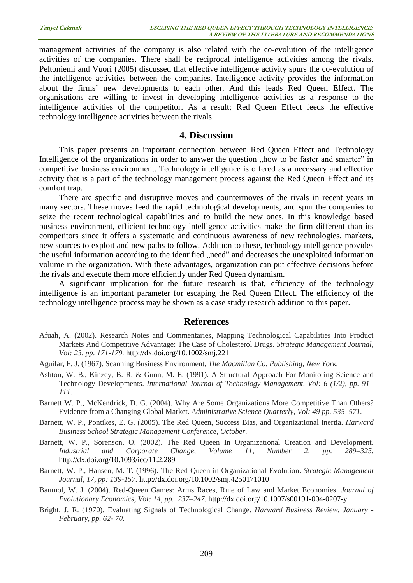management activities of the company is also related with the co-evolution of the intelligence activities of the companies. There shall be reciprocal intelligence activities among the rivals. Peltoniemi and Vuori (2005) discussed that effective intelligence activity spurs the co-evolution of the intelligence activities between the companies. Intelligence activity provides the information about the firms' new developments to each other. And this leads Red Queen Effect. The organisations are willing to invest in developing intelligence activities as a response to the intelligence activities of the competitor. As a result; Red Queen Effect feeds the effective technology intelligence activities between the rivals.

#### **4. Discussion**

This paper presents an important connection between Red Queen Effect and Technology Intelligence of the organizations in order to answer the question "how to be faster and smarter" in competitive business environment. Technology intelligence is offered as a necessary and effective activity that is a part of the technology management process against the Red Queen Effect and its comfort trap.

There are specific and disruptive moves and countermoves of the rivals in recent years in many sectors. These moves feed the rapid technological developments, and spur the companies to seize the recent technological capabilities and to build the new ones. In this knowledge based business environment, efficient technology intelligence activities make the firm different than its competitors since it offers a systematic and continuous awareness of new technologies, markets, new sources to exploit and new paths to follow. Addition to these, technology intelligence provides the useful information according to the identified "need" and decreases the unexploited information volume in the organization. With these advantages, organization can put effective decisions before the rivals and execute them more efficiently under Red Queen dynamism.

A significant implication for the future research is that, efficiency of the technology intelligence is an important parameter for escaping the Red Queen Effect. The efficiency of the technology intelligence process may be shown as a case study research addition to this paper.

## **References**

- Afuah, A. (2002). Research Notes and Commentaries, Mapping Technological Capabilities Into Product Markets And Competitive Advantage: The Case of Cholesterol Drugs. *Strategic Management Journal, Vol: 23, pp. 171-179.* <http://dx.doi.org/10.1002/smj.221>
- Aguilar, F. J. (1967). Scanning Business Environment, *The Macmillan Co. Publishing, New York.*
- Ashton, W. B., Kinzey, B. R. & Gunn, M. E. (1991). A Structural Approach For Monitoring Science and Technology Developments. *International Journal of Technology Management, Vol: 6 (1/2), pp. 91– 111.*
- Barnett W. P., McKendrick, D. G. (2004). Why Are Some Organizations More Competitive Than Others? Evidence from a Changing Global Market. *Administrative Science Quarterly, Vol: 49 pp. 535–571.*
- Barnett, W. P., Pontikes, E. G. (2005). The Red Queen, Success Bias, and Organizational Inertia. *Harward Business School Strategic Management Conference, October.*
- Barnett, W. P., Sorenson, O. (2002). The Red Queen In Organizational Creation and Development. *Industrial and Corporate Change, Volume 11, Number 2, pp. 289–325.* <http://dx.doi.org/10.1093/icc/11.2.289>
- Barnett, W. P., Hansen, M. T. (1996). The Red Queen in Organizational Evolution. *Strategic Management Journal, 17, pp: 139-157.* <http://dx.doi.org/10.1002/smj.4250171010>
- Baumol, W. J. (2004). Red-Queen Games: Arms Races, Rule of Law and Market Economies. *Journal of Evolutionary Economics, Vol: 14, pp. 237–247.* <http://dx.doi.org/10.1007/s00191-004-0207-y>
- Bright, J. R. (1970). Evaluating Signals of Technological Change. *Harward Business Review, January - February, pp. 62- 70.*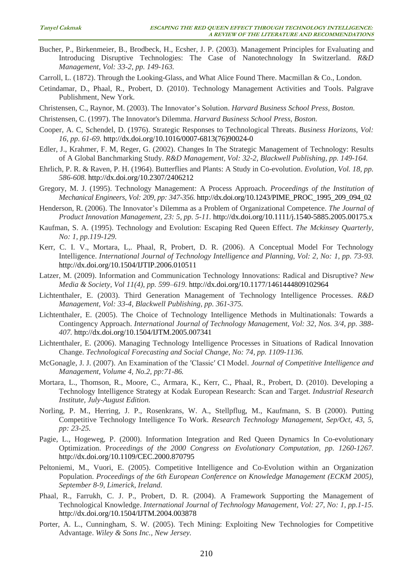- Bucher, P., Birkenmeier, B., Brodbeck, H., Ecsher, J. P. (2003). Management Principles for Evaluating and Introducing Disruptive Technologies: The Case of Nanotechnology In Switzerland. *R&D Management, Vol: 33-2, pp. 149-163.*
- Carroll, L. (1872). Through the Looking-Glass, and What Alice Found There. Macmillan & Co., London.
- Cetindamar, D., Phaal, R., Probert, D. (2010). Technology Management Activities and Tools. Palgrave Publishment, New York.
- Christensen, C., Raynor, M. (2003). The Innovator's Solution. *Harvard Business School Press, Boston.*
- Christensen, C. (1997). The Innovator's Dilemma. *Harvard Business School Press, Boston.*
- Cooper, A. C, Schendel, D. (1976). Strategic Responses to Technological Threats. *Business Horizons, Vol: 16, pp. 61-69.* [http://dx.doi.org/10.1016/0007-6813\(76\)90024-0](http://dx.doi.org/10.1016/0007-6813(76)90024-0)
- Edler, J., Krahmer, F. M, Reger, G. (2002). Changes In The Strategic Management of Technology: Results of A Global Banchmarking Study. *R&D Management, Vol: 32-2, Blackwell Publishing, pp. 149-164.*
- Ehrlich, P. R. & Raven, P. H. (1964). Butterflies and Plants: A Study in Co-evolution. *Evolution, Vol. 18, pp. 586-608.* <http://dx.doi.org/10.2307/2406212>
- Gregory, M. J. (1995). Technology Management: A Process Approach. *Proceedings of the Institution of Mechanical Engineers, Vol: 209, pp: 347-356.* [http://dx.doi.org/10.1243/PIME\\_PROC\\_1995\\_209\\_094\\_02](http://dx.doi.org/10.1243/PIME_PROC_1995_209_094_02)
- Henderson, R. (2006). The Innovator's Dilemma as a Problem of Organizational Competence. *The Journal of Product Innovation Management, 23: 5, pp. 5-11.* <http://dx.doi.org/10.1111/j.1540-5885.2005.00175.x>
- Kaufman, S. A. (1995). Technology and Evolution: Escaping Red Queen Effect. *The Mckinsey Quarterly, No: 1, pp.119-129.*
- Kerr, C. I. V., Mortara, L,. Phaal, R, Probert, D. R. (2006). A Conceptual Model For Technology Intelligence. *International Journal of Technology Intelligence and Planning, Vol: 2, No: 1, pp. 73-93.* <http://dx.doi.org/10.1504/IJTIP.2006.010511>
- Latzer, M. (2009). Information and Communication Technology Innovations: Radical and Disruptive? *New Media & Society, Vol 11(4), pp. 599–619.* <http://dx.doi.org/10.1177/1461444809102964>
- Lichtenthaler, E. (2003). Third Generation Management of Technology Intelligence Processes. *R&D Management, Vol: 33-4, Blackwell Publishing, pp. 361-375.*
- Lichtenthaler, E. (2005). The Choice of Technology Intelligence Methods in Multinationals: Towards a Contingency Approach. *International Journal of Technology Management, Vol: 32, Nos. 3/4, pp. 388- 407.* <http://dx.doi.org/10.1504/IJTM.2005.007341>
- Lichtenthaler, E. (2006). Managing Technology Intelligence Processes in Situations of Radical Innovation Change. *Technological Forecasting and Social Change, No: 74, pp. 1109-1136.*
- McGonagle, J. J. (2007). An Examination of the ʹClassicʹ CI Model. *Journal of Competitive Intelligence and Management, Volume 4, No.2, pp:71-86.*
- Mortara, L., Thomson, R., Moore, C., Armara, K., Kerr, C., Phaal, R., Probert, D. (2010). Developing a Technology Intelligence Strategy at Kodak European Research: Scan and Target. *Industrial Research Institute, July-August Edition.*
- Norling, P. M., Herring, J. P., Rosenkrans, W. A., Stellpflug, M., Kaufmann, S. B (2000). Putting Competitive Technology Intelligence To Work. *Research Technology Management, Sep/Oct, 43, 5, pp: 23-25.*
- Pagie, L., Hogeweg, P. (2000). Information Integration and Red Queen Dynamics In Co-evolutionary Optimization. P*roceedings of the 2000 Congress on Evolutionary Computation, pp. 1260-1267.* <http://dx.doi.org/10.1109/CEC.2000.870795>
- Peltoniemi, M., Vuori, E. (2005). Competitive Intelligence and Co-Evolution within an Organization Population. *Proceedings of the 6th European Conference on Knowledge Management (ECKM 2005), September 8-9, Limerick, Ireland.*
- Phaal, R., Farrukh, C. J. P., Probert, D. R. (2004). A Framework Supporting the Management of Technological Knowledge. *International Journal of Technology Management, Vol: 27, No: 1, pp.1-15.* <http://dx.doi.org/10.1504/IJTM.2004.003878>
- Porter, A. L., Cunningham, S. W. (2005). Tech Mining: Exploiting New Technologies for Competitive Advantage. *Wiley & Sons Inc., New Jersey.*